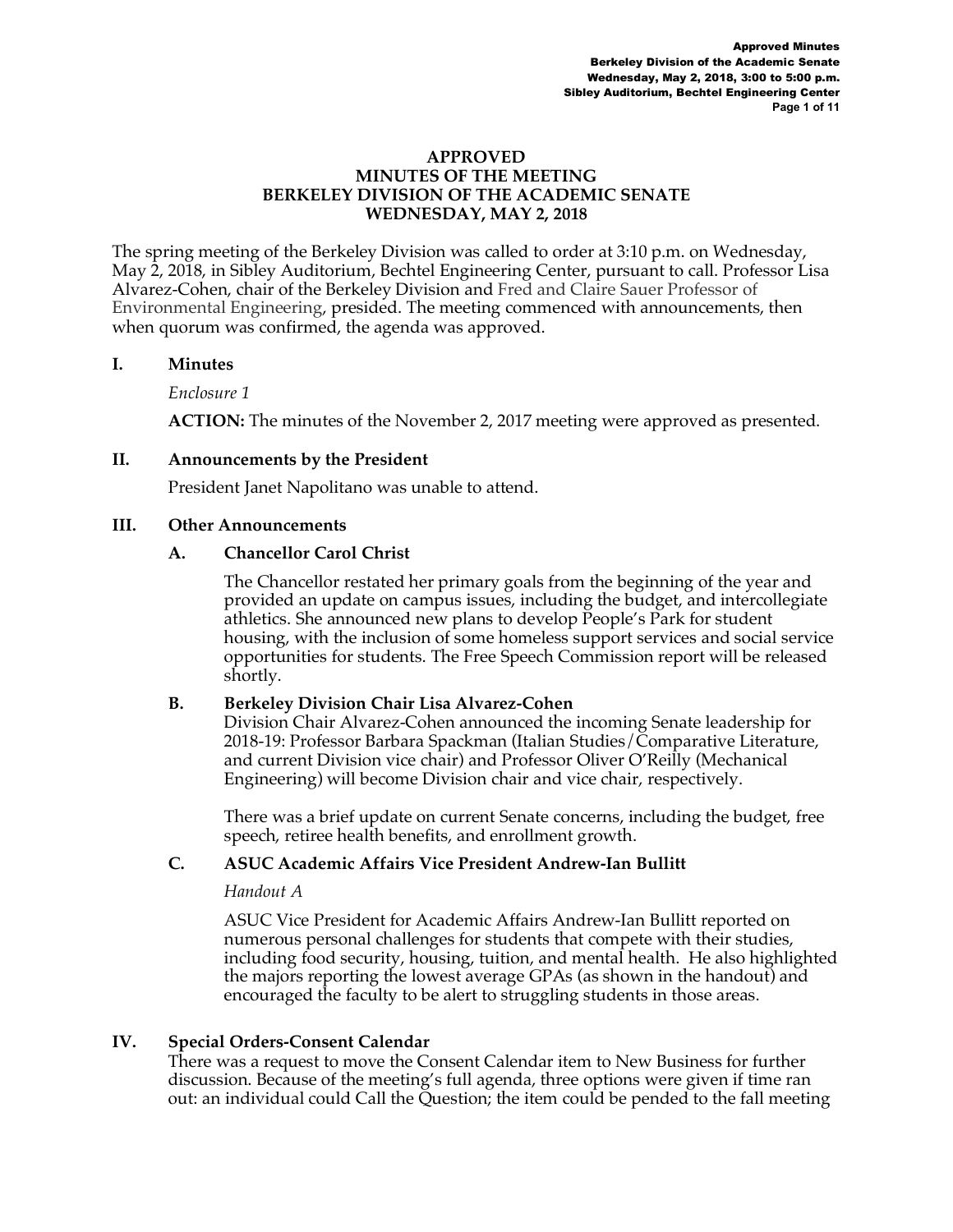### **APPROVED MINUTES OF THE MEETING BERKELEY DIVISION OF THE ACADEMIC SENATE WEDNESDAY, MAY 2, 2018**

The spring meeting of the Berkeley Division was called to order at 3:10 p.m. on Wednesday, May 2, 2018, in Sibley Auditorium, Bechtel Engineering Center, pursuant to call. Professor Lisa Alvarez-Cohen, chair of the Berkeley Division and Fred and Claire Sauer Professor of Environmental Engineering, presided. The meeting commenced with announcements, then when quorum was confirmed, the agenda was approved.

## **I. Minutes**

*Enclosure 1* 

**ACTION:** The minutes of the November 2, 2017 meeting were approved as presented.

## **II. Announcements by the President**

President Janet Napolitano was unable to attend.

## **III. Other Announcements**

## **A. Chancellor Carol Christ**

The Chancellor restated her primary goals from the beginning of the year and provided an update on campus issues, including the budget, and intercollegiate athletics. She announced new plans to develop People's Park for student housing, with the inclusion of some homeless support services and social service opportunities for students. The Free Speech Commission report will be released shortly.

# **B. Berkeley Division Chair Lisa Alvarez-Cohen**

Division Chair Alvarez-Cohen announced the incoming Senate leadership for 2018-19: Professor Barbara Spackman (Italian Studies/Comparative Literature, and current Division vice chair) and Professor Oliver O'Reilly (Mechanical Engineering) will become Division chair and vice chair, respectively.

There was a brief update on current Senate concerns, including the budget, free speech, retiree health benefits, and enrollment growth.

# **C. ASUC Academic Affairs Vice President Andrew-Ian Bullitt**

### *Handout A*

ASUC Vice President for Academic Affairs Andrew-Ian Bullitt reported on numerous personal challenges for students that compete with their studies, including food security, housing, tuition, and mental health. He also highlighted the majors reporting the lowest average GPAs (as shown in the handout) and encouraged the faculty to be alert to struggling students in those areas.

# **IV. Special Orders-Consent Calendar**

There was a request to move the Consent Calendar item to New Business for further discussion. Because of the meeting's full agenda, three options were given if time ran out: an individual could Call the Question; the item could be pended to the fall meeting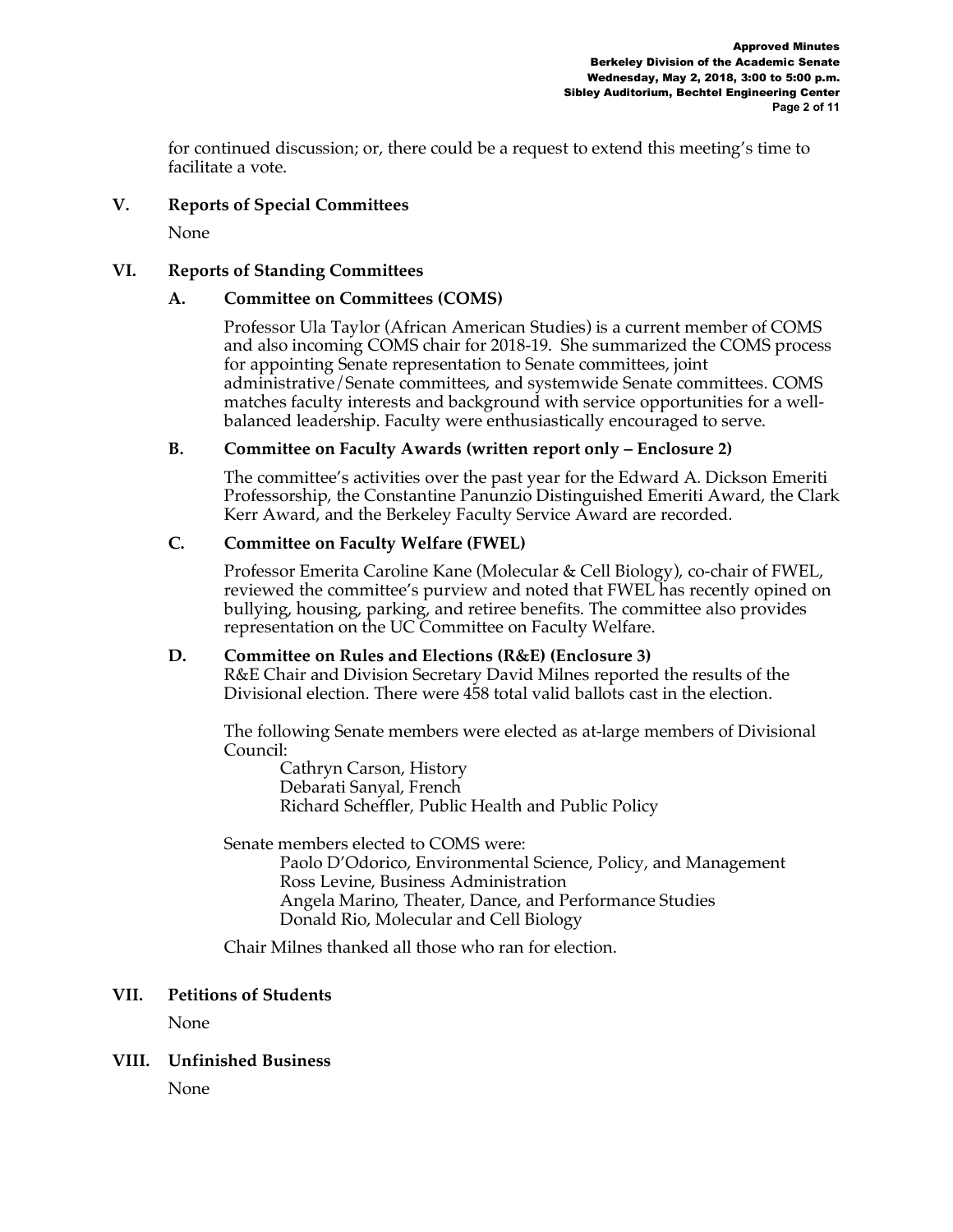for continued discussion; or, there could be a request to extend this meeting's time to facilitate a vote.

## **V. Reports of Special Committees**

None

### **VI. Reports of Standing Committees**

## **A. Committee on Committees (COMS)**

Professor Ula Taylor (African American Studies) is a current member of COMS and also incoming COMS chair for 2018-19. She summarized the COMS process for appointing Senate representation to Senate committees, joint administrative/Senate committees, and systemwide Senate committees. COMS matches faculty interests and background with service opportunities for a wellbalanced leadership. Faculty were enthusiastically encouraged to serve.

## **B. Committee on Faculty Awards (written report only – Enclosure 2)**

The committee's activities over the past year for the Edward A. Dickson Emeriti Professorship, the Constantine Panunzio Distinguished Emeriti Award, the Clark Kerr Award, and the Berkeley Faculty Service Award are recorded.

## **C. Committee on Faculty Welfare (FWEL)**

Professor Emerita Caroline Kane (Molecular & Cell Biology), co-chair of FWEL, reviewed the committee's purview and noted that FWEL has recently opined on bullying, housing, parking, and retiree benefits. The committee also provides representation on the UC Committee on Faculty Welfare.

### **D. Committee on Rules and Elections (R&E) (Enclosure 3)**

R&E Chair and Division Secretary David Milnes reported the results of the Divisional election. There were 458 total valid ballots cast in the election.

The following Senate members were elected as at-large members of Divisional Council:

Cathryn Carson, History Debarati Sanyal, French Richard Scheffler, Public Health and Public Policy

Senate members elected to COMS were:

Paolo D'Odorico, Environmental Science, Policy, and Management Ross Levine, Business Administration Angela Marino, Theater, Dance, and Performance Studies Donald Rio, Molecular and Cell Biology

Chair Milnes thanked all those who ran for election.

### **VII. Petitions of Students**

None

# **VIII. Unfinished Business**

None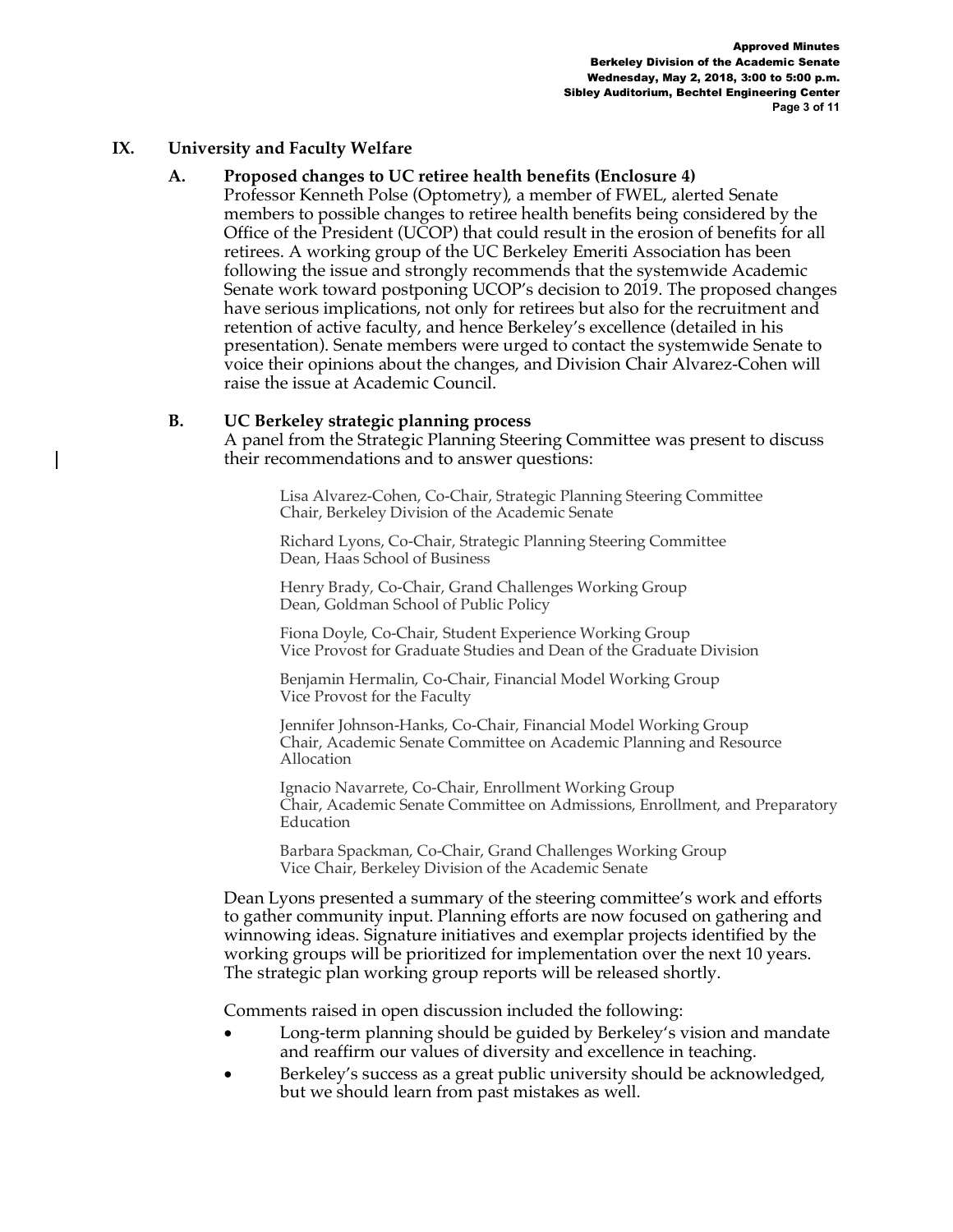### **IX. University and Faculty Welfare**

## **A. Proposed changes to UC retiree health benefits (Enclosure 4)**

Professor Kenneth Polse (Optometry), a member of FWEL, alerted Senate members to possible changes to retiree health benefits being considered by the Office of the President (UCOP) that could result in the erosion of benefits for all retirees. A working group of the UC Berkeley Emeriti Association has been following the issue and strongly recommends that the systemwide Academic Senate work toward postponing UCOP's decision to 2019. The proposed changes have serious implications, not only for retirees but also for the recruitment and retention of active faculty, and hence Berkeley's excellence (detailed in his presentation). Senate members were urged to contact the systemwide Senate to voice their opinions about the changes, and Division Chair Alvarez-Cohen will raise the issue at Academic Council.

### **B. UC Berkeley strategic planning process**

A panel from the Strategic Planning Steering Committee was present to discuss their recommendations and to answer questions:

Lisa Alvarez-Cohen, Co-Chair, Strategic Planning Steering Committee Chair, Berkeley Division of the Academic Senate

Richard Lyons, Co-Chair, Strategic Planning Steering Committee Dean, Haas School of Business

Henry Brady, Co-Chair, Grand Challenges Working Group Dean, Goldman School of Public Policy

Fiona Doyle, Co-Chair, Student Experience Working Group Vice Provost for Graduate Studies and Dean of the Graduate Division

Benjamin Hermalin, Co-Chair, Financial Model Working Group Vice Provost for the Faculty

Jennifer Johnson-Hanks, Co-Chair, Financial Model Working Group Chair, Academic Senate Committee on Academic Planning and Resource Allocation

Ignacio Navarrete, Co-Chair, Enrollment Working Group Chair, Academic Senate Committee on Admissions, Enrollment, and Preparatory Education

Barbara Spackman, Co-Chair, Grand Challenges Working Group Vice Chair, Berkeley Division of the Academic Senate

Dean Lyons presented a summary of the steering committee's work and efforts to gather community input. Planning efforts are now focused on gathering and winnowing ideas. Signature initiatives and exemplar projects identified by the working groups will be prioritized for implementation over the next 10 years. The strategic plan working group reports will be released shortly.

Comments raised in open discussion included the following:

- Long-term planning should be guided by Berkeley's vision and mandate and reaffirm our values of diversity and excellence in teaching.
- Berkeley's success as a great public university should be acknowledged, but we should learn from past mistakes as well.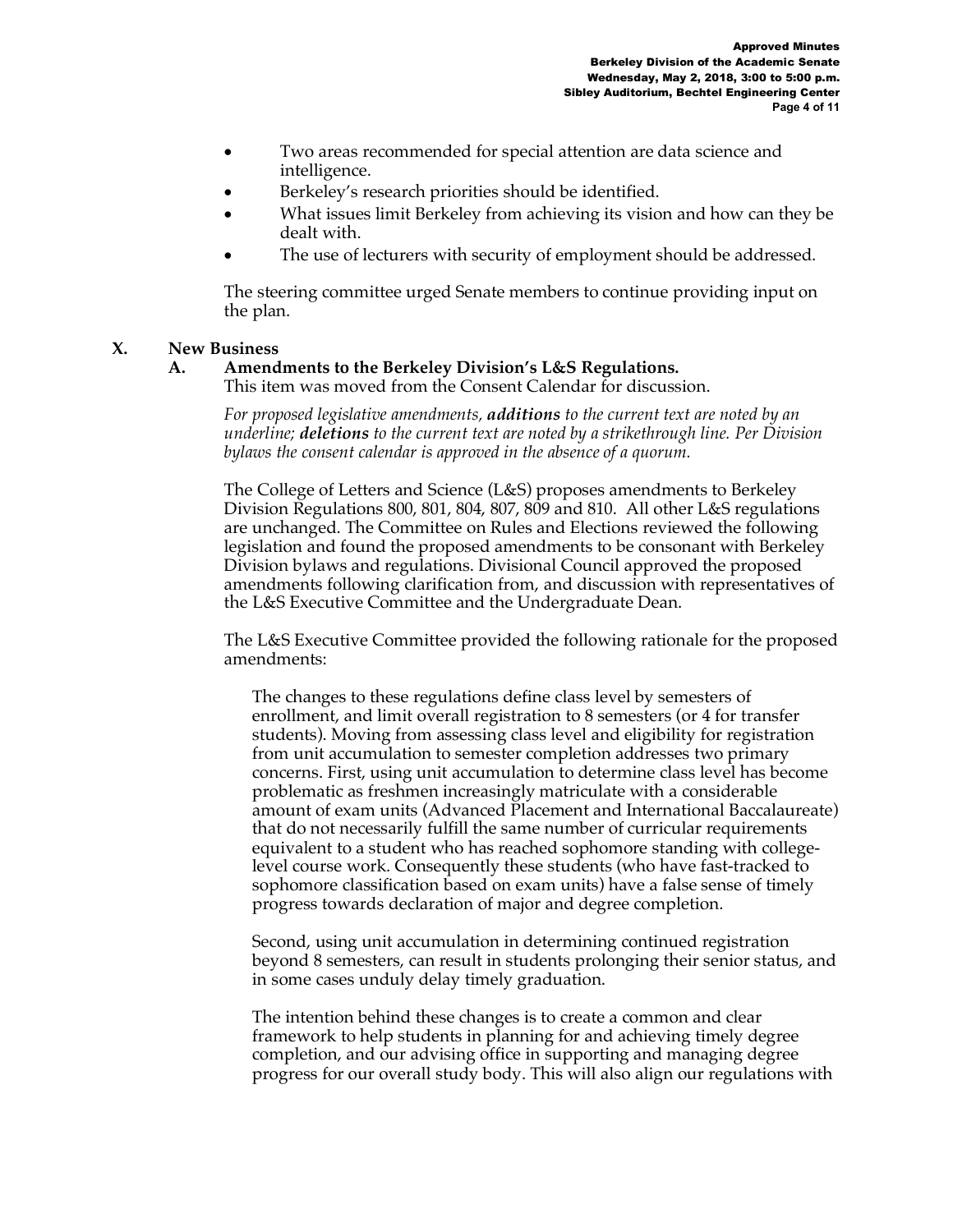- Two areas recommended for special attention are data science and intelligence.
- Berkeley's research priorities should be identified.
- What issues limit Berkeley from achieving its vision and how can they be dealt with.
- The use of lecturers with security of employment should be addressed.

The steering committee urged Senate members to continue providing input on the plan.

## **X. New Business**

# **A. Amendments to the Berkeley Division's L&S Regulations.**

This item was moved from the Consent Calendar for discussion.

*For proposed legislative amendments, additions to the current text are noted by an underline; deletions to the current text are noted by a strikethrough line. Per Division bylaws the consent calendar is approved in the absence of a quorum.*

The College of Letters and Science (L&S) proposes amendments to Berkeley Division Regulations 800, 801, 804, 807, 809 and 810. All other L&S regulations are unchanged. The Committee on Rules and Elections reviewed the following legislation and found the proposed amendments to be consonant with Berkeley Division bylaws and regulations. Divisional Council approved the proposed amendments following clarification from, and discussion with representatives of the L&S Executive Committee and the Undergraduate Dean.

The L&S Executive Committee provided the following rationale for the proposed amendments:

The changes to these regulations define class level by semesters of enrollment, and limit overall registration to 8 semesters (or 4 for transfer students). Moving from assessing class level and eligibility for registration from unit accumulation to semester completion addresses two primary concerns. First, using unit accumulation to determine class level has become problematic as freshmen increasingly matriculate with a considerable amount of exam units (Advanced Placement and International Baccalaureate) that do not necessarily fulfill the same number of curricular requirements equivalent to a student who has reached sophomore standing with collegelevel course work. Consequently these students (who have fast-tracked to sophomore classification based on exam units) have a false sense of timely progress towards declaration of major and degree completion.

Second, using unit accumulation in determining continued registration beyond 8 semesters, can result in students prolonging their senior status, and in some cases unduly delay timely graduation.

The intention behind these changes is to create a common and clear framework to help students in planning for and achieving timely degree completion, and our advising office in supporting and managing degree progress for our overall study body. This will also align our regulations with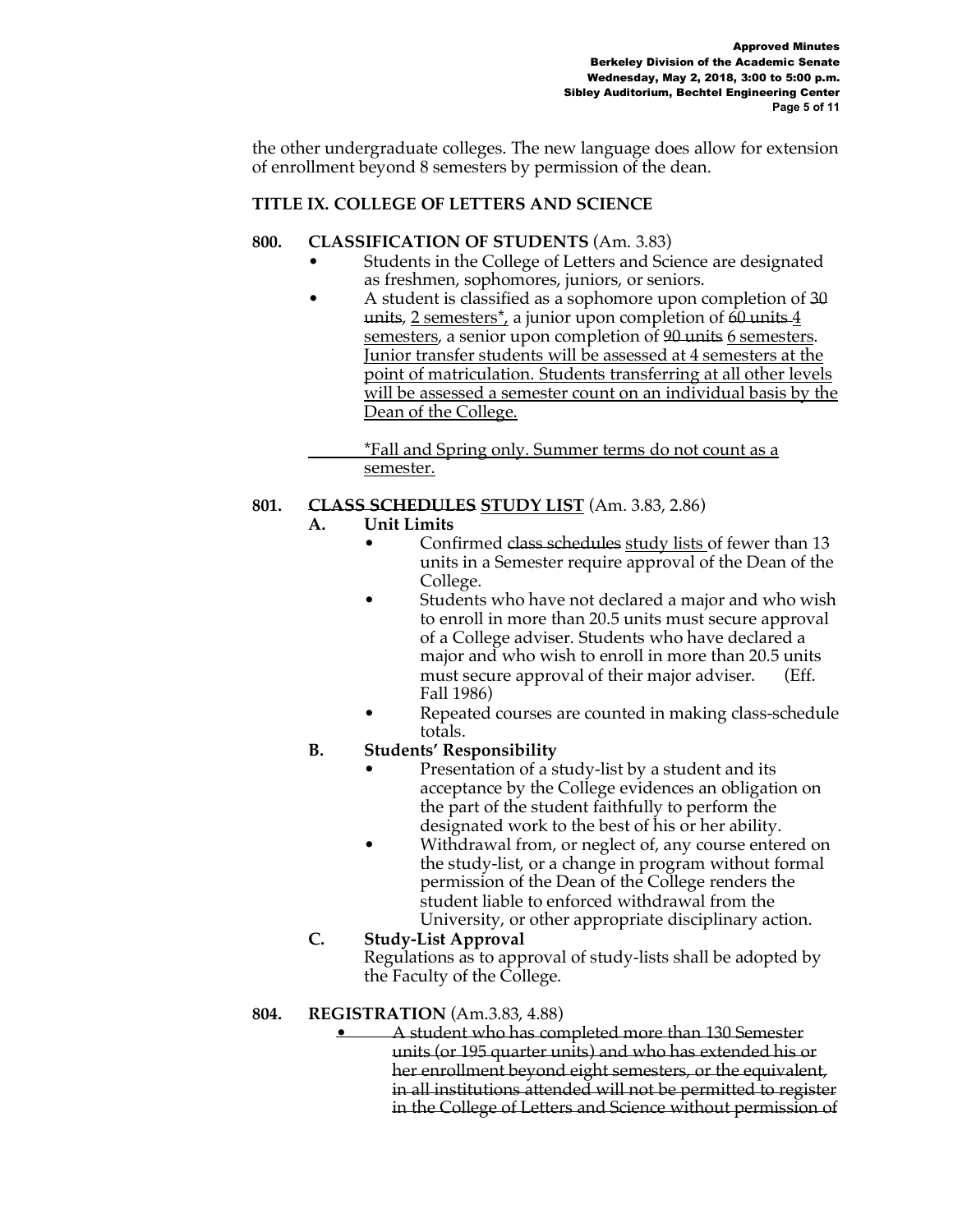the other undergraduate colleges. The new language does allow for extension of enrollment beyond 8 semesters by permission of the dean.

# **TITLE IX. COLLEGE OF LETTERS AND SCIENCE**

### **800. CLASSIFICATION OF STUDENTS** (Am. 3.83)

- Students in the College of Letters and Science are designated as freshmen, sophomores, juniors, or seniors.
- A student is classified as a sophomore upon completion of 30 units,  $2$  semesters<sup>\*</sup>, a junior upon completion of  $60$  units  $4$ semesters, a senior upon completion of 90 units 6 semesters. Junior transfer students will be assessed at 4 semesters at the point of matriculation. Students transferring at all other levels will be assessed a semester count on an individual basis by the Dean of the College.

\*Fall and Spring only. Summer terms do not count as a semester.

# **801. CLASS SCHEDULES STUDY LIST** (Am. 3.83, 2.86)

# **A. Unit Limits**

- Confirmed class schedules study lists of fewer than 13 units in a Semester require approval of the Dean of the College.
- Students who have not declared a major and who wish to enroll in more than 20.5 units must secure approval of a College adviser. Students who have declared a major and who wish to enroll in more than 20.5 units must secure approval of their major adviser. (Eff. Fall 1986)
- Repeated courses are counted in making class-schedule totals.

# **B. Students' Responsibility**

- Presentation of a study-list by a student and its acceptance by the College evidences an obligation on the part of the student faithfully to perform the designated work to the best of his or her ability.
- Withdrawal from, or neglect of, any course entered on the study-list, or a change in program without formal permission of the Dean of the College renders the student liable to enforced withdrawal from the University, or other appropriate disciplinary action.

# **C. Study-List Approval** Regulations as to approval of study-lists shall be adopted by the Faculty of the College.

# **804. REGISTRATION** (Am.3.83, 4.88)

• A student who has completed more than 130 Semester units (or 195 quarter units) and who has extended his or her enrollment beyond eight semesters, or the equivalent, in all institutions attended will not be permitted to register in the College of Letters and Science without permission of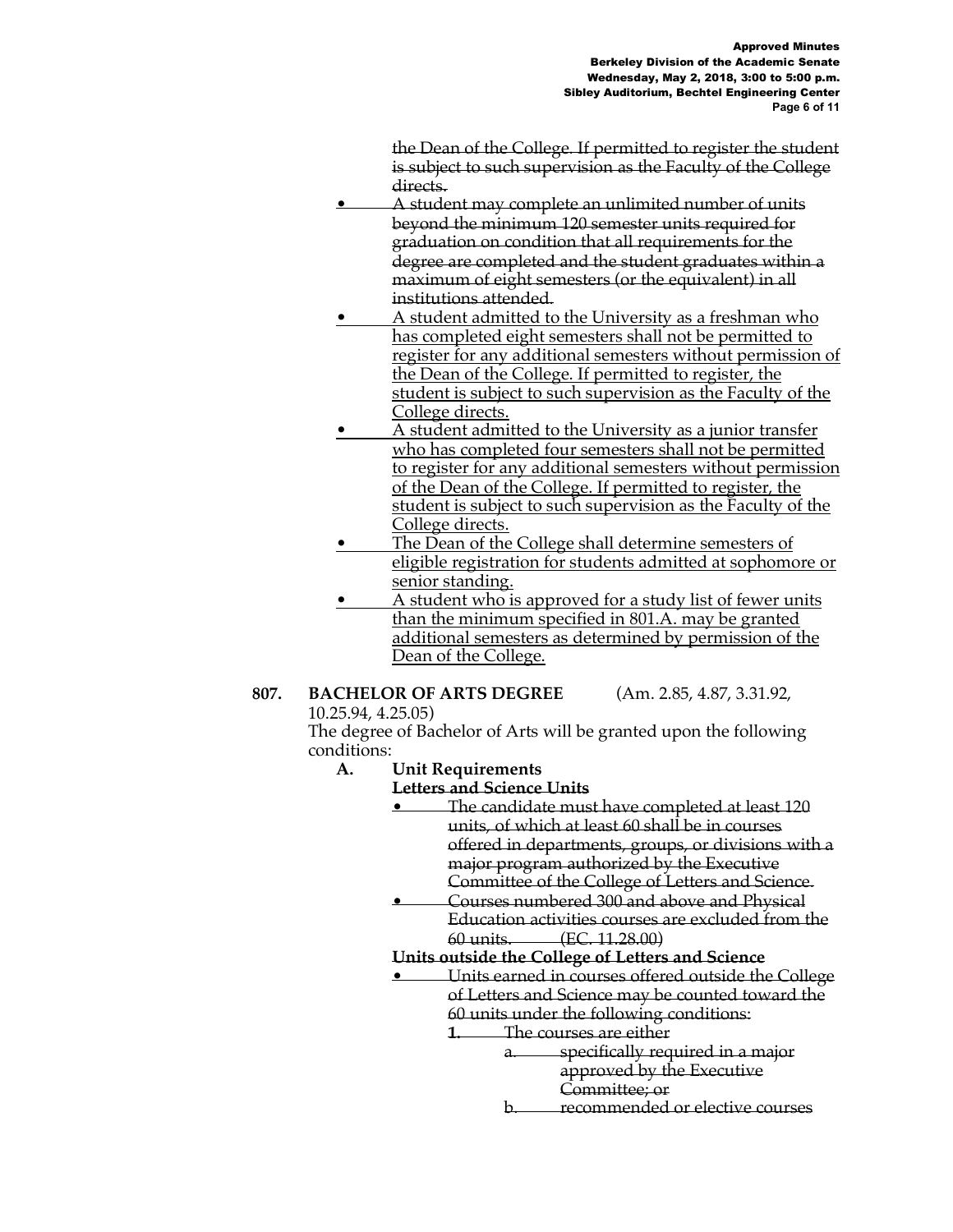the Dean of the College. If permitted to register the student is subject to such supervision as the Faculty of the College directs.

- A student may complete an unlimited number of units beyond the minimum 120 semester units required for graduation on condition that all requirements for the degree are completed and the student graduates within a maximum of eight semesters (or the equivalent) in all institutions attended.
- A student admitted to the University as a freshman who has completed eight semesters shall not be permitted to register for any additional semesters without permission of the Dean of the College. If permitted to register, the student is subject to such supervision as the Faculty of the College directs.
- A student admitted to the University as a junior transfer who has completed four semesters shall not be permitted to register for any additional semesters without permission of the Dean of the College. If permitted to register, the student is subject to such supervision as the Faculty of the College directs.
- The Dean of the College shall determine semesters of eligible registration for students admitted at sophomore or senior standing.
- A student who is approved for a study list of fewer units than the minimum specified in 801.A. may be granted additional semesters as determined by permission of the Dean of the College.

#### **807. BACHELOR OF ARTS DEGREE** (Am. 2.85, 4.87, 3.31.92, 10.25.94, 4.25.05)

The degree of Bachelor of Arts will be granted upon the following conditions:

- **A. Unit Requirements** 
	- **Letters and Science Units**
		- The candidate must have completed at least 120 units, of which at least 60 shall be in courses offered in departments, groups, or divisions with a major program authorized by the Executive Committee of the College of Letters and Science.
		- Courses numbered 300 and above and Physical Education activities courses are excluded from the 60 units. (EC. 11.28.00)
		- **Units outside the College of Letters and Science**
		- Units earned in courses offered outside the College of Letters and Science may be counted toward the 60 units under the following conditions:
			- **1.** The courses are either
				- a. specifically required in a major approved by the Executive Committee; or
				- b. recommended or elective courses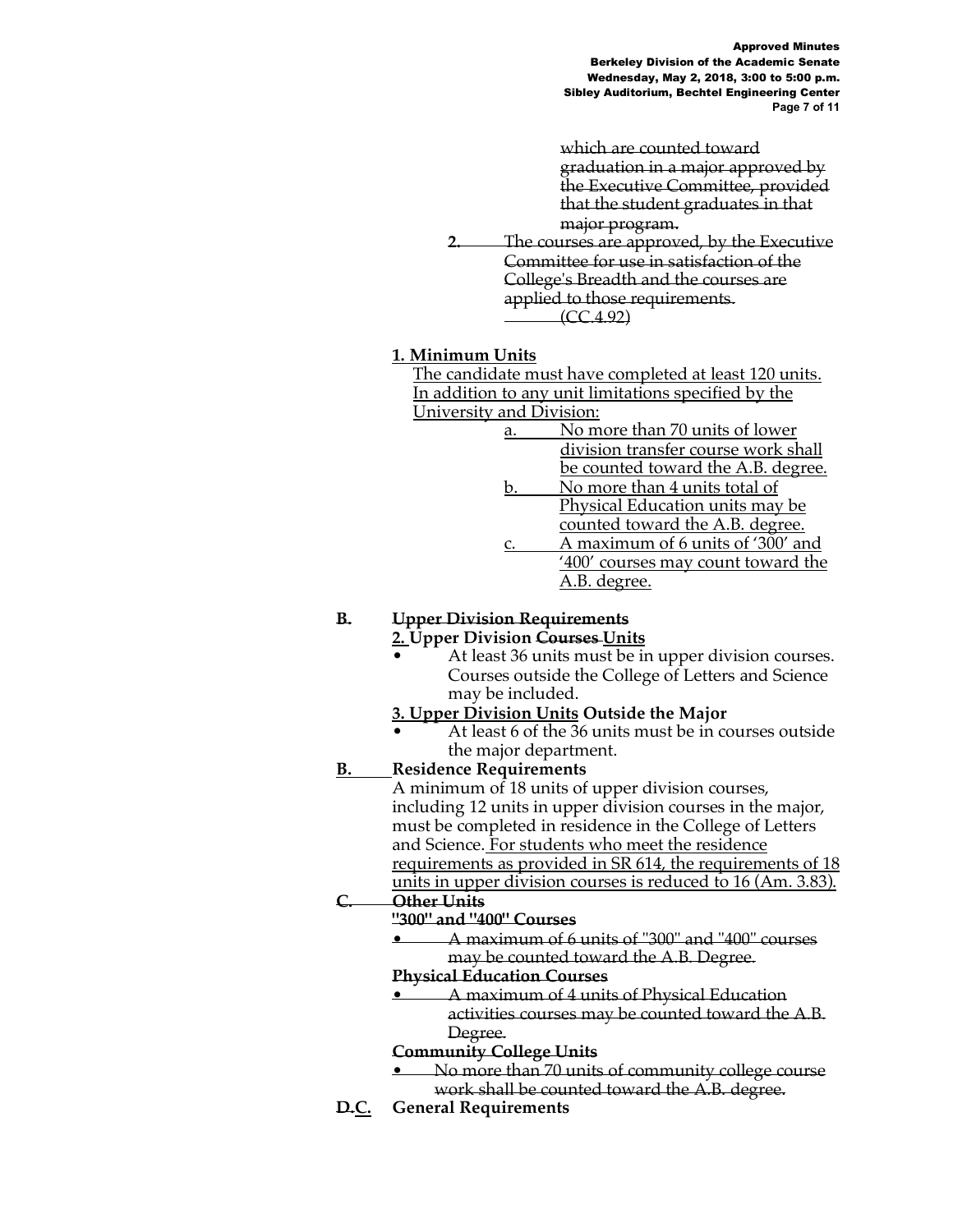Approved Minutes Berkeley Division of the Academic Senate Wednesday, May 2, 2018, 3:00 to 5:00 p.m. Sibley Auditorium, Bechtel Engineering Center **Page 7 of 11**

which are counted toward graduation in a major approved by the Executive Committee, provided that the student graduates in that major program.

**2.** The courses are approved, by the Executive Committee for use in satisfaction of the College's Breadth and the courses are applied to those requirements. (CC.4.92)

## **1. Minimum Units**

The candidate must have completed at least 120 units. In addition to any unit limitations specified by the University and Division:

- a. No more than 70 units of lower division transfer course work shall be counted toward the A.B. degree.
- b. No more than 4 units total of Physical Education units may be counted toward the A.B. degree.
- c. A maximum of 6 units of '300' and '400' courses may count toward the A.B. degree.

# **B. Upper Division Requirements**

### **2. Upper Division Courses Units**

At least 36 units must be in upper division courses. Courses outside the College of Letters and Science may be included.

# **3. Upper Division Units Outside the Major**

• At least 6 of the 36 units must be in courses outside the major department.

# **B. Residence Requirements**

A minimum of 18 units of upper division courses, including 12 units in upper division courses in the major, must be completed in residence in the College of Letters and Science. For students who meet the residence requirements as provided in SR 614, the requirements of 18 units in upper division courses is reduced to 16 (Am. 3.83).

# **C. Other Units**

# **"300" and "400" Courses**

• A maximum of 6 units of "300" and "400" courses may be counted toward the A.B. Degree.

### **Physical Education Courses**

• A maximum of 4 units of Physical Education activities courses may be counted toward the A.B. Degree.

### **Community College Units**

- No more than 70 units of community college course work shall be counted toward the A.B. degree.
- **D.C. General Requirements**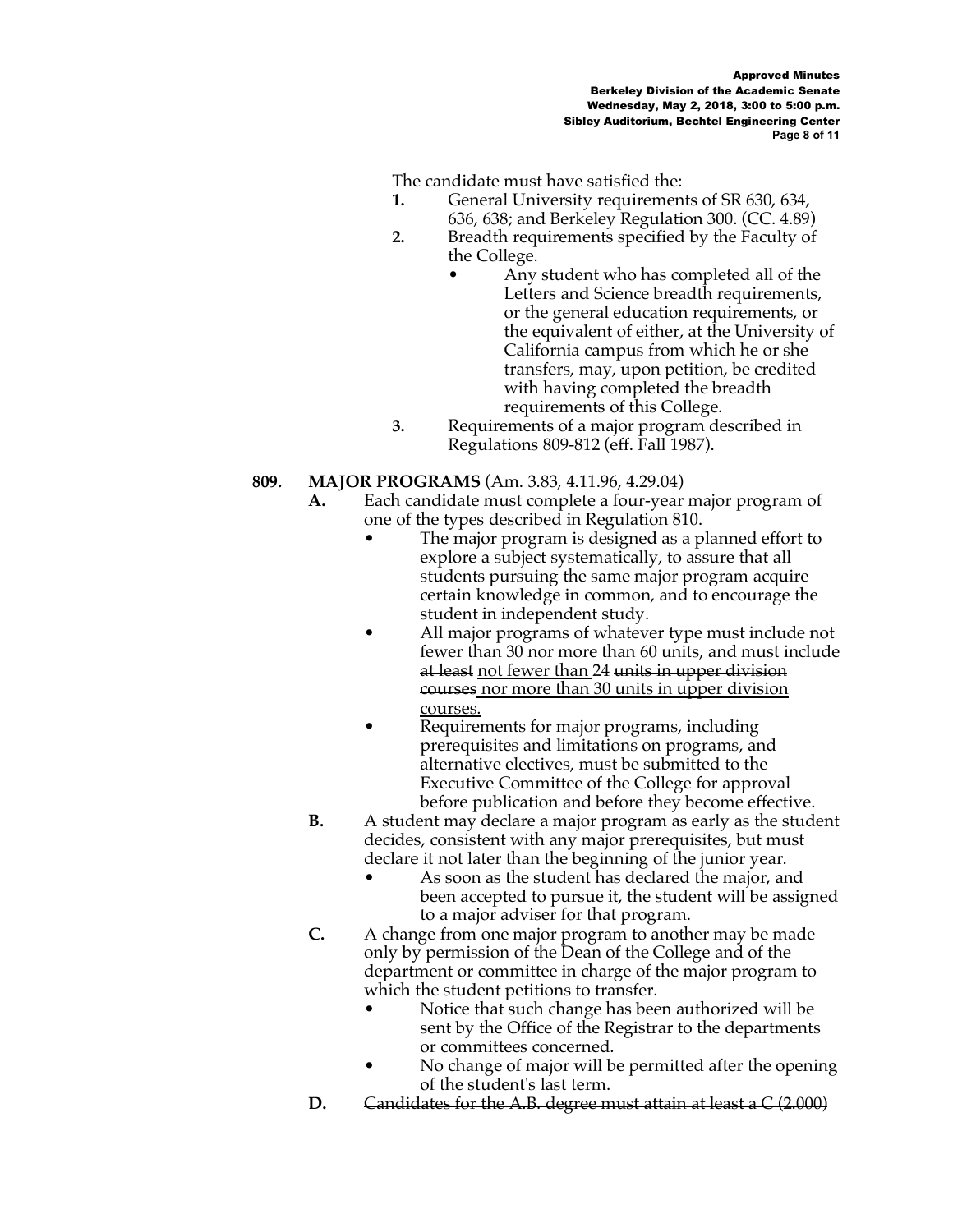The candidate must have satisfied the:

- **1.** General University requirements of SR 630, 634, 636, 638; and Berkeley Regulation 300. (CC. 4.89)
- **2.** Breadth requirements specified by the Faculty of the College.
	- Any student who has completed all of the Letters and Science breadth requirements, or the general education requirements, or the equivalent of either, at the University of California campus from which he or she transfers, may, upon petition, be credited with having completed the breadth requirements of this College.
- **3.** Requirements of a major program described in Regulations 809-812 (eff. Fall 1987).

# **809. MAJOR PROGRAMS** (Am. 3.83, 4.11.96, 4.29.04)

- **A.** Each candidate must complete a four-year major program of one of the types described in Regulation 810.
	- The major program is designed as a planned effort to explore a subject systematically, to assure that all students pursuing the same major program acquire certain knowledge in common, and to encourage the student in independent study.
	- All major programs of whatever type must include not fewer than 30 nor more than 60 units, and must include at least not fewer than 24 units in upper division courses nor more than 30 units in upper division courses.
	- Requirements for major programs, including prerequisites and limitations on programs, and alternative electives, must be submitted to the Executive Committee of the College for approval before publication and before they become effective.
- **B.** A student may declare a major program as early as the student decides, consistent with any major prerequisites, but must declare it not later than the beginning of the junior year.
	- As soon as the student has declared the major, and been accepted to pursue it, the student will be assigned to a major adviser for that program.
- **C.** A change from one major program to another may be made only by permission of the Dean of the College and of the department or committee in charge of the major program to which the student petitions to transfer.
	- Notice that such change has been authorized will be sent by the Office of the Registrar to the departments or committees concerned.
	- No change of major will be permitted after the opening of the student's last term.
- **D.** Candidates for the A.B. degree must attain at least a C (2.000)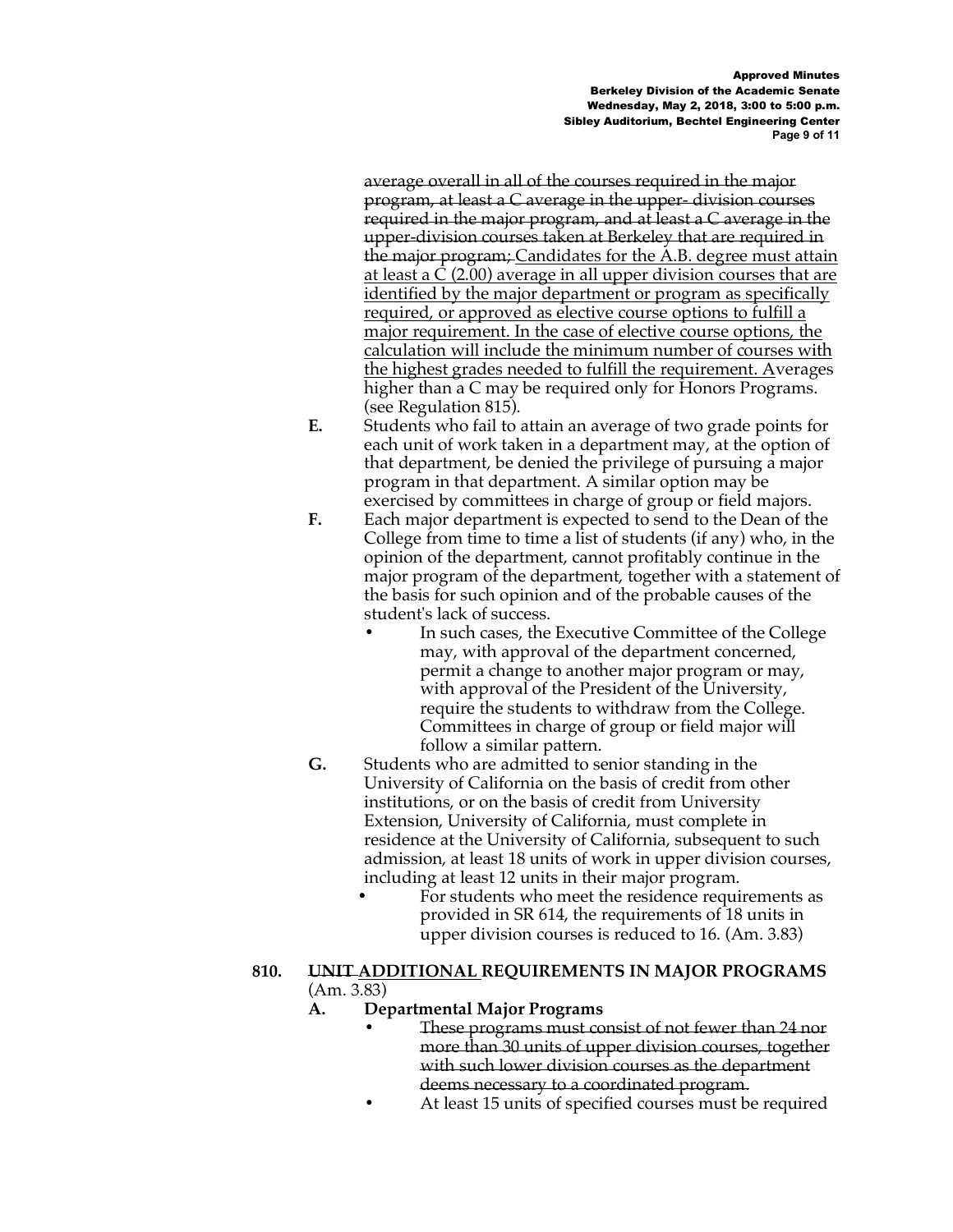Approved Minutes Berkeley Division of the Academic Senate Wednesday, May 2, 2018, 3:00 to 5:00 p.m. Sibley Auditorium, Bechtel Engineering Center **Page 9 of 11**

average overall in all of the courses required in the major program, at least a C average in the upper- division courses required in the major program, and at least a C average in the upper-division courses taken at Berkeley that are required in the major program; Candidates for the A.B. degree must attain at least a C (2.00) average in all upper division courses that are identified by the major department or program as specifically required, or approved as elective course options to fulfill a major requirement. In the case of elective course options, the calculation will include the minimum number of courses with the highest grades needed to fulfill the requirement. Averages higher than a C may be required only for Honors Programs. (see Regulation 815).

- **E.** Students who fail to attain an average of two grade points for each unit of work taken in a department may, at the option of that department, be denied the privilege of pursuing a major program in that department. A similar option may be exercised by committees in charge of group or field majors.
- **F.** Each major department is expected to send to the Dean of the College from time to time a list of students (if any) who, in the opinion of the department, cannot profitably continue in the major program of the department, together with a statement of the basis for such opinion and of the probable causes of the student's lack of success.
	- **•** In such cases, the Executive Committee of the College may, with approval of the department concerned, permit a change to another major program or may, with approval of the President of the University, require the students to withdraw from the College. Committees in charge of group or field major will follow a similar pattern.
- **G.** Students who are admitted to senior standing in the University of California on the basis of credit from other institutions, or on the basis of credit from University Extension, University of California, must complete in residence at the University of California, subsequent to such admission, at least 18 units of work in upper division courses, including at least 12 units in their major program.
	- **•** For students who meet the residence requirements as provided in SR 614, the requirements of 18 units in upper division courses is reduced to 16. (Am. 3.83)

#### **810. UNIT ADDITIONAL REQUIREMENTS IN MAJOR PROGRAMS** (Am. 3.83)

# **A. Departmental Major Programs**

- **•** These programs must consist of not fewer than 24 nor more than 30 units of upper division courses, together with such lower division courses as the department deems necessary to a coordinated program.
- **•** At least 15 units of specified courses must be required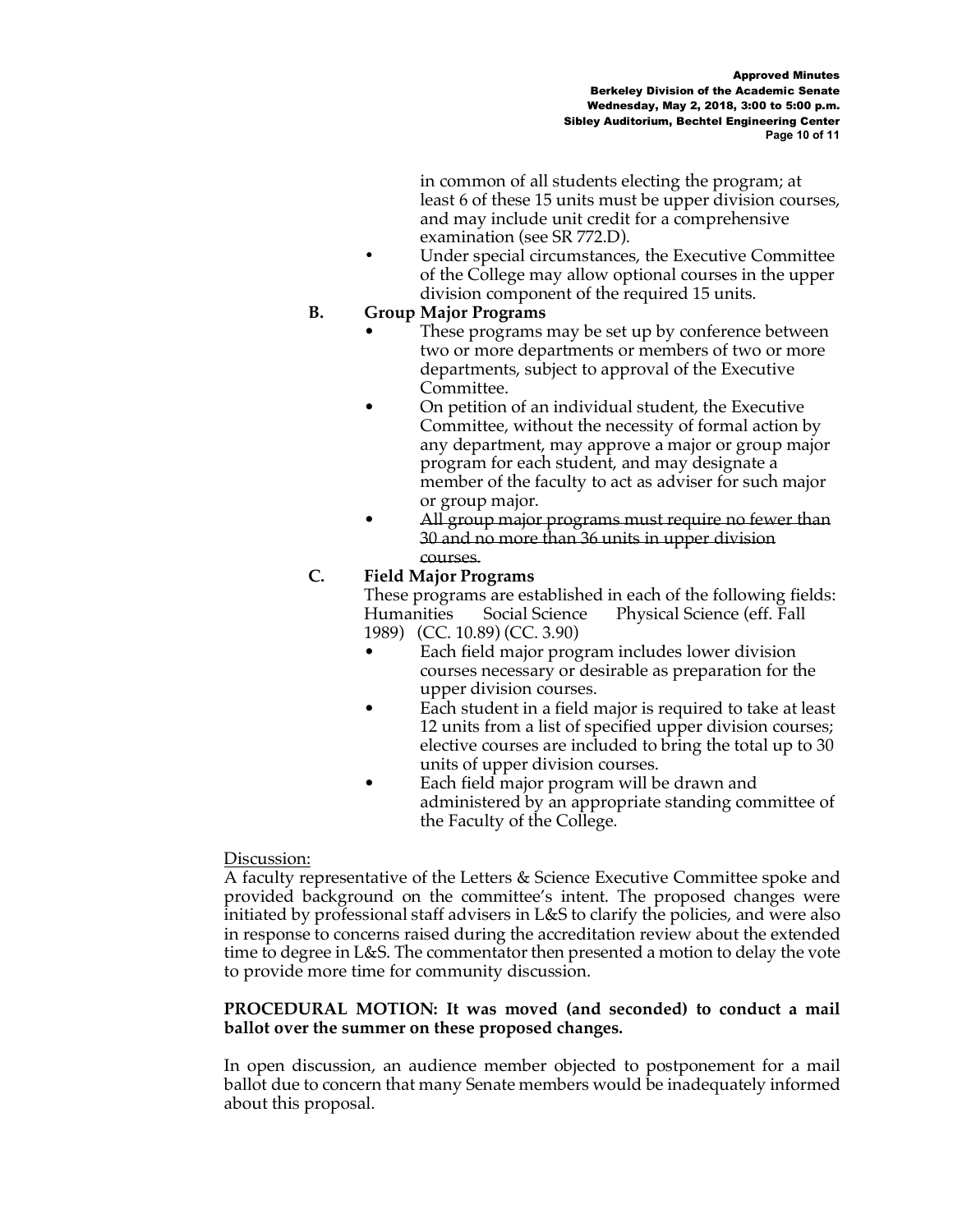in common of all students electing the program; at least 6 of these 15 units must be upper division courses, and may include unit credit for a comprehensive examination (see SR 772.D).

**•** Under special circumstances, the Executive Committee of the College may allow optional courses in the upper division component of the required 15 units.

## **B. Group Major Programs**

- These programs may be set up by conference between two or more departments or members of two or more departments, subject to approval of the Executive Committee.
- On petition of an individual student, the Executive Committee, without the necessity of formal action by any department, may approve a major or group major program for each student, and may designate a member of the faculty to act as adviser for such major or group major.
- All group major programs must require no fewer than 30 and no more than 36 units in upper division courses.

# **C. Field Major Programs**

These programs are established in each of the following fields: Humanities Social Science Physical Science (eff. Fall 1989) (CC. 10.89) (CC. 3.90)

- Each field major program includes lower division courses necessary or desirable as preparation for the upper division courses.
- Each student in a field major is required to take at least 12 units from a list of specified upper division courses; elective courses are included to bring the total up to 30 units of upper division courses.
- Each field major program will be drawn and administered by an appropriate standing committee of the Faculty of the College.

# Discussion:

A faculty representative of the Letters & Science Executive Committee spoke and provided background on the committee's intent. The proposed changes were initiated by professional staff advisers in L&S to clarify the policies, and were also in response to concerns raised during the accreditation review about the extended time to degree in L&S. The commentator then presented a motion to delay the vote to provide more time for community discussion.

## **PROCEDURAL MOTION: It was moved (and seconded) to conduct a mail ballot over the summer on these proposed changes.**

In open discussion, an audience member objected to postponement for a mail ballot due to concern that many Senate members would be inadequately informed about this proposal.